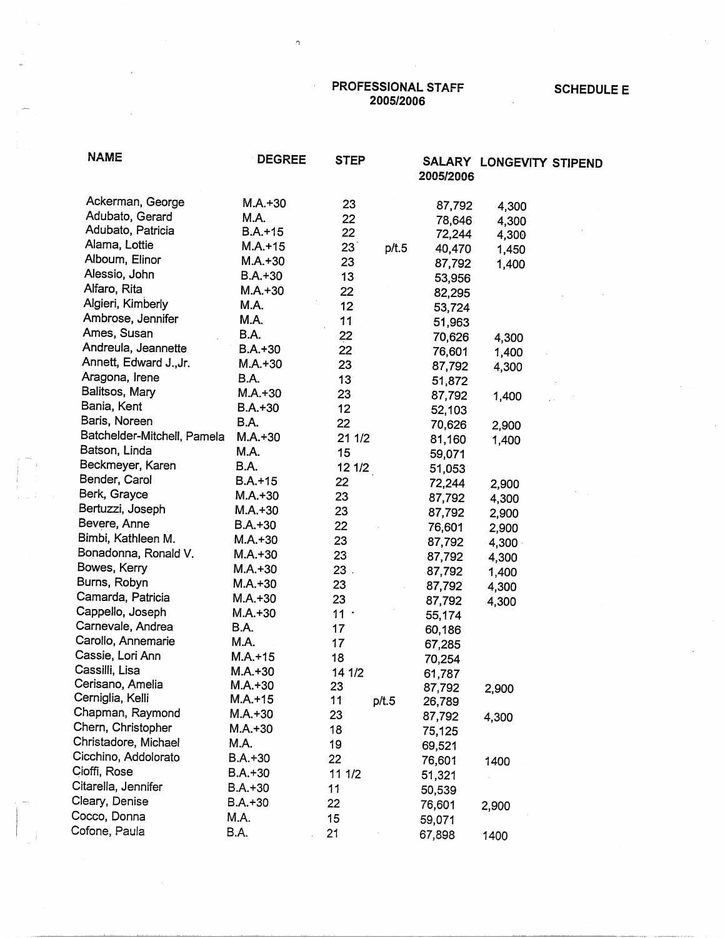PROFESSIONAL STAFF 2005/2006

 $\Omega$ 

## SCHEDULE E

**NAME** DEGREE Ackerman, George **M.A.+30**  Adubato, Gerard **M.A.**  Adubato, Patricia **B.A.+15**  Alama, Lottie **M.A.+15**  Alboum, Elinor **M.A.+30 Alessio,** John **B.A.+30**  Alfaro, Rita **M.A.+30**  Algieri, Kimberly **M.A.**  Ambrose, Jennifer **M.A.**  Ames, Susan **B.A.**  Andreula, Jeannette **B.A.+30**  Annett, Edward J.,Jr. **M.A.+30**  Aragona, Irene **B.A.**  Balitsos, Mary **M.A.+30**  Bania, Kent **B.A.+30**  Baris, Noreen **B.A.** Batchelder-Mitchell, Pamela **M.A.+30**  Batson, Linda **M.A.**  Beckmeyer, Karen **B.A.**  Bender, Carol B.A.+15 13erk, Grayce **M.A.+30**  Bertuzzi, Joseph **M.A.+30**  Bevere, Anne **B.A.+30**  Bimbi, Kathleen M. **M.A.+30**  Bonadonna, Ronald V. **M.A.+30**  Bowes, Kerry **M.A.+30**  Burns, Robyn **M.A.+30**  Camarda, Patricia **M.A.+30**  Cappello,Joseph **M.A.+30**  Carnevale, Andrea **B.A.**  Carollo, Annemarie **M.A. Cassje,** Lori Ann M.A.+15 **Cassilli,** Lisa **M.A.+30**  Cerisano, Amelia **M.A.+30**  Cerniglia, Kelli **M.A.+15**  Chapman, Raymond **M.A.+30**  Chern, Christopher **M.A.+30**  Christadore, Michael **M.A.**  Cicchino, Addolorato B.A.+30 Cioffi, Rose B.A.+30 Citarella, Jennifer B.A.+30 Cleary, Denise **B.A.+30**  Cocco, Donna M.A. Cofone, Paula B.A. **STEP SALARY LONGEVITY STIPEND 2005/2006 23 87,792 4,300 22 78,646 4,300 22 72,244 4,300 23** p/t.5 **40,470 1,450 23 87,792 1,400 13 53,956 22 82,295 12 53,724 11 51,963**  ~2 **70,626 4,300 22 76,601 1,400 23 87,792 4,300 13 51,872 23 87,792 1,400 12 52,103 22 70,626 2,900 211/2 81,160** 1,400 15 **59,071 12 1/2 51,053 22 72,244 2,900 23 87,792 4,300 23 87,792 2,900 22 76,601 2,900 23 87,792 4,300** · **23 87,792 4,300 23. 87,792 1,400 23 87,792 4,300 23 87,792 4,300**  11 . **55,174 17 60,186 17 67,285 18 70,254 14 1/2 61,787 23 87,792 2,900 11** p/t.5 **26,789 23 87,792 4,300 18 75,125**  19 **69,521 22** 76,601 1400 11 1/2 51,321 11 **50,539 22** 76,601 2,900 59,071 21 67,898 1400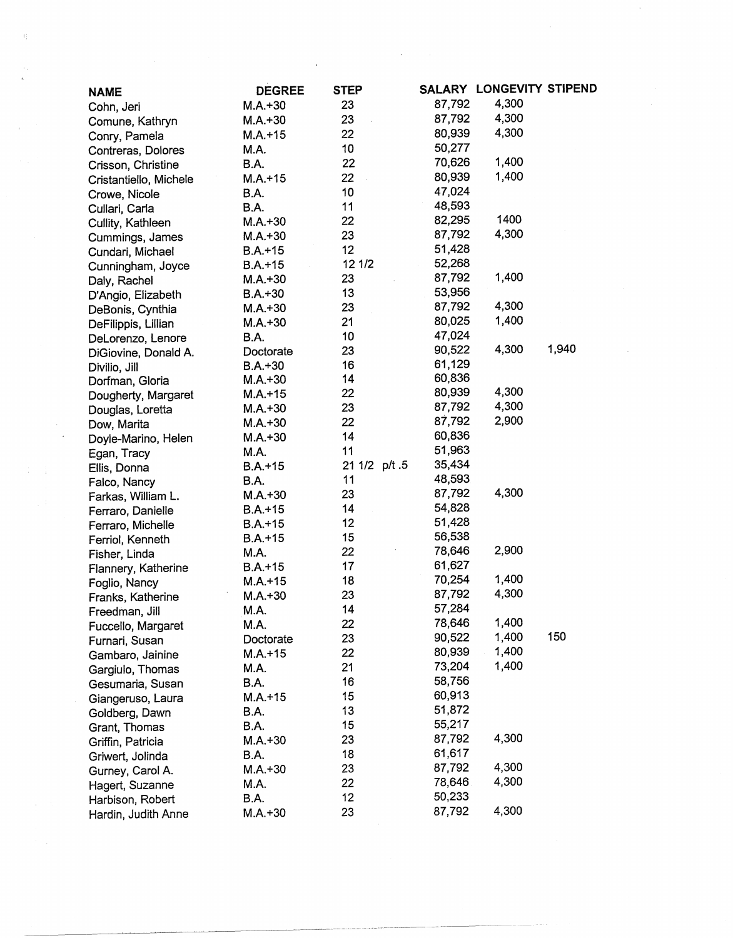| <b>NAME</b>            | <b>DEGREE</b> | <b>STEP</b>   |        | SALARY LONGEVITY STIPEND |       |
|------------------------|---------------|---------------|--------|--------------------------|-------|
| Cohn, Jeri             | $M.A.+30$     | 23            | 87,792 | 4,300                    |       |
| Comune, Kathryn        | $M.A.+30$     | 23            | 87,792 | 4,300                    |       |
| Conry, Pamela          | $M.A. + 15$   | 22            | 80,939 | 4,300                    |       |
| Contreras, Dolores     | M.A.          | 10            | 50,277 |                          |       |
| Crisson, Christine     | B.A.          | 22            | 70,626 | 1,400                    |       |
| Cristantiello, Michele | $M.A. + 15$   | 22            | 80,939 | 1,400                    |       |
| Crowe, Nicole          | B.A.          | 10            | 47,024 |                          |       |
| Cullari, Carla         | B.A.          | 11            | 48,593 |                          |       |
| Cullity, Kathleen      | $M.A.+30$     | 22            | 82,295 | 1400                     |       |
| Cummings, James        | $M.A.+30$     | 23            | 87,792 | 4,300                    |       |
| Cundari, Michael       | $B.A. + 15$   | 12            | 51,428 |                          |       |
| Cunningham, Joyce      | B.A.+15       | 12 1/2        | 52,268 |                          |       |
| Daly, Rachel           | $M.A.+30$     | 23            | 87,792 | 1,400                    |       |
| D'Angio, Elizabeth     | $B.A.+30$     | 13            | 53,956 |                          |       |
| DeBonis, Cynthia       | $M.A.+30$     | 23            | 87,792 | 4,300                    |       |
| DeFilippis, Lillian    | $M.A.+30$     | 21            | 80,025 | 1,400                    |       |
| DeLorenzo, Lenore      | B.A.          | 10            | 47,024 |                          |       |
| DiGiovine, Donald A.   | Doctorate     | 23            | 90,522 | 4,300                    | 1,940 |
| Divilio, Jill          | $B.A.+30$     | 16            | 61,129 |                          |       |
| Dorfman, Gloria        | $M.A.+30$     | 14            | 60,836 |                          |       |
| Dougherty, Margaret    | $M.A.+15$     | 22            | 80,939 | 4,300                    |       |
| Douglas, Loretta       | $M.A.+30$     | 23            | 87,792 | 4,300                    |       |
| Dow, Marita            | $M.A.+30$     | 22            | 87,792 | 2,900                    |       |
| Doyle-Marino, Helen    | $M.A.+30$     | 14            | 60,836 |                          |       |
| Egan, Tracy            | M.A.          | 11            | 51,963 |                          |       |
| Ellis, Donna           | $B.A. + 15$   | 21 1/2 p/t .5 | 35,434 |                          |       |
| Falco, Nancy           | B.A.          | 11            | 48,593 |                          |       |
| Farkas, William L.     | $M.A. + 30$   | 23            | 87,792 | 4,300                    |       |
| Ferraro, Danielle      | $B.A. + 15$   | 14            | 54,828 |                          |       |
| Ferraro, Michelle      | $B.A.+15$     | 12            | 51,428 |                          |       |
| Ferriol, Kenneth       | $B.A.+15$     | 15            | 56,538 |                          |       |
| Fisher, Linda          | M.A.          | 22            | 78,646 | 2,900                    |       |
| Flannery, Katherine    | $B.A.+15$     | 17            | 61,627 |                          |       |
| Foglio, Nancy          | $M.A.+15$     | 18            | 70,254 | 1,400                    |       |
| Franks, Katherine      | $M.A.+30$     | 23            | 87,792 | 4,300                    |       |
| Freedman, Jill         | M.A.          | 14            | 57,284 |                          |       |
| Fuccello, Margaret     | M.A.          | 22            | 78,646 | 1,400                    |       |
| Furnari, Susan         | Doctorate     | 23            | 90,522 | 1,400                    | 150   |
| Gambaro, Jainine       | $M.A. + 15$   | 22            | 80,939 | 1,400                    |       |
| Gargiulo, Thomas       | M.A.          | 21            | 73,204 | 1,400                    |       |
| Gesumaria, Susan       | B.A.          | 16            | 58,756 |                          |       |
| Giangeruso, Laura      | $M.A. + 15$   | 15            | 60,913 |                          |       |
| Goldberg, Dawn         | B.A.          | 13            | 51,872 |                          |       |
| Grant, Thomas          | B.A.          | 15            | 55,217 |                          |       |
| Griffin, Patricia      | $M.A.+30$     | 23            | 87,792 | 4,300                    |       |
| Griwert, Jolinda       | B.A.          | 18            | 61,617 |                          |       |
| Gurney, Carol A.       | $M.A.+30$     | 23            | 87,792 | 4,300                    |       |
| Hagert, Suzanne        | M.A.          | 22            | 78,646 | 4,300                    |       |
| Harbison, Robert       | B.A.          | 12            | 50,233 |                          |       |
| Hardin, Judith Anne    | $M.A.+30$     | 23            | 87,792 | 4,300                    |       |
|                        |               |               |        |                          |       |

 $\mathcal{L}(\mathcal{L})$  and  $\mathcal{L}(\mathcal{L})$  are the set of the set of the set of the set of the set of  $\mathcal{L}(\mathcal{L})$ 

 $\label{eq:2.1} \frac{1}{\sqrt{2}}\int_{\mathbb{R}^3}\frac{1}{\sqrt{2}}\left(\frac{1}{\sqrt{2}}\right)^2\frac{1}{\sqrt{2}}\left(\frac{1}{\sqrt{2}}\right)^2\frac{1}{\sqrt{2}}\left(\frac{1}{\sqrt{2}}\right)^2.$ 

 $\frac{1}{2}$ 

 $\label{eq:2} \begin{array}{c} \mathcal{F}_{\mathcal{G}} \\ \mathcal{F}_{\mathcal{G}} \\ \mathcal{F}_{\mathcal{G}} \end{array}$ 

 $\label{eq:2} \mathcal{A} = \frac{1}{2} \sum_{i=1}^n \frac{1}{2} \sum_{j=1}^n \frac{1}{2} \sum_{j=1}^n \frac{1}{2} \sum_{j=1}^n \frac{1}{2} \sum_{j=1}^n \frac{1}{2} \sum_{j=1}^n \frac{1}{2} \sum_{j=1}^n \frac{1}{2} \sum_{j=1}^n \frac{1}{2} \sum_{j=1}^n \frac{1}{2} \sum_{j=1}^n \frac{1}{2} \sum_{j=1}^n \frac{1}{2} \sum_{j=1}^n \frac{1}{2} \sum_{j=1}$ 

 $\mathcal{F}(\mathcal{L}_\text{max})$  .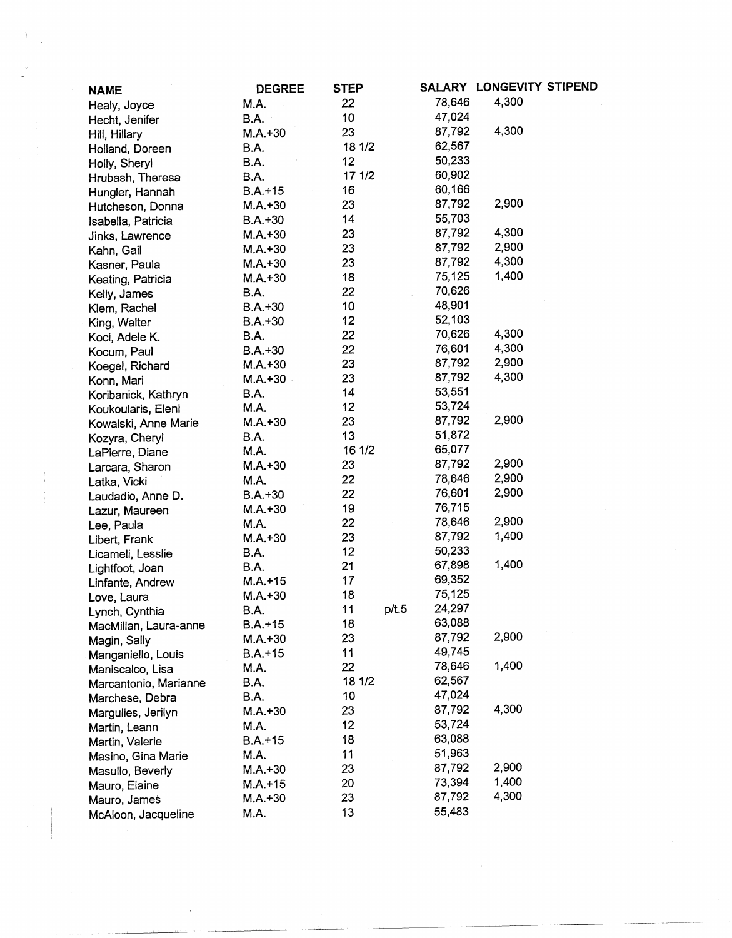| <b>NAME</b>                       | <b>DEGREE</b> | <b>STEP</b> |       |        | SALARY LONGEVITY STIPEND |  |
|-----------------------------------|---------------|-------------|-------|--------|--------------------------|--|
| Healy, Joyce                      | M.A.          | 22          |       | 78,646 | 4,300                    |  |
| Hecht, Jenifer                    | B.A.          | 10          |       | 47,024 |                          |  |
| Hill, Hillary                     | $M.A.+30$     | 23          |       | 87,792 | 4,300                    |  |
| Holland, Doreen                   | B.A.          | 18 1/2      |       | 62,567 |                          |  |
| Holly, Sheryl                     | B.A.          | 12          |       | 50,233 |                          |  |
| Hrubash, Theresa                  | B.A.          | 17 1/2      |       | 60,902 |                          |  |
| Hungler, Hannah                   | $B.A.+15$     | 16          |       | 60,166 |                          |  |
| Hutcheson, Donna                  | $M.A.+30$     | 23          |       | 87,792 | 2,900                    |  |
| Isabella, Patricia                | $B.A.+30$     | 14          |       | 55,703 |                          |  |
| Jinks, Lawrence                   | $M.A.+30$     | 23          |       | 87,792 | 4,300                    |  |
| Kahn, Gail                        | $M.A.+30$     | 23          |       | 87,792 | 2,900                    |  |
| Kasner, Paula                     | $M.A.+30$     | 23          |       | 87,792 | 4,300                    |  |
| Keating, Patricia                 | $M.A.+30$     | 18          |       | 75,125 | 1,400                    |  |
| Kelly, James                      | B.A.          | 22          |       | 70,626 |                          |  |
| Klem, Rachel                      | $B.A.+30$     | 10          |       | 48,901 |                          |  |
| King, Walter                      | $B.A.+30$     | 12          |       | 52,103 |                          |  |
| Koci, Adele K.                    | B.A.          | 22          |       | 70,626 | 4,300                    |  |
| Kocum, Paul                       | $B.A.+30$     | 22          |       | 76,601 | 4,300                    |  |
| Koegel, Richard                   | $M.A.+30$     | 23          |       | 87,792 | 2,900                    |  |
| Konn, Mari                        | $M.A.+30$     | 23          |       | 87,792 | 4,300                    |  |
| Koribanick, Kathryn               | B.A.          | 14          |       | 53,551 |                          |  |
| Koukoularis, Eleni                | M.A.          | 12          |       | 53,724 |                          |  |
| Kowalski, Anne Marie              | $M.A.+30$     | 23          |       | 87,792 | 2,900                    |  |
|                                   | B.A.          | 13          |       | 51,872 |                          |  |
| Kozyra, Cheryl<br>LaPierre, Diane | M.A.          | 16 1/2      |       | 65,077 |                          |  |
| Larcara, Sharon                   | $M.A.+30$     | 23          |       | 87,792 | 2,900                    |  |
| Latka, Vicki                      | M.A.          | 22          |       | 78,646 | 2,900                    |  |
| Laudadio, Anne D.                 | $B.A.+30$     | 22          |       | 76,601 | 2,900                    |  |
| Lazur, Maureen                    | $M.A.+30$     | 19          |       | 76,715 |                          |  |
| Lee, Paula                        | M.A.          | 22          |       | 78,646 | 2,900                    |  |
| Libert, Frank                     | $M.A.+30$     | 23          |       | 87,792 | 1,400                    |  |
| Licameli, Lesslie                 | B.A.          | 12          |       | 50,233 |                          |  |
| Lightfoot, Joan                   | B.A.          | 21          |       | 67,898 | 1,400                    |  |
| Linfante, Andrew                  | $M.A.+15$     | 17          |       | 69,352 |                          |  |
| Love, Laura                       | $M.A.+30$     | 18          |       | 75,125 |                          |  |
| Lynch, Cynthia                    | B.A.          | 11          | p/t.5 | 24,297 |                          |  |
| MacMillan, Laura-anne             | $B.A.+15$     | 18          |       | 63,088 |                          |  |
| Magin, Sally                      | $M.A.+30$     | 23          |       | 87,792 | 2,900                    |  |
| Manganiello, Louis                | $B.A.+15$     | 11          |       | 49,745 |                          |  |
| Maniscalco, Lisa                  | M.A.          | 22          |       | 78,646 | 1,400                    |  |
| Marcantonio, Marianne             | B.A.          | 18 1/2      |       | 62,567 |                          |  |
| Marchese, Debra                   | B.A.          | 10          |       | 47,024 |                          |  |
| Margulies, Jerilyn                | $M.A.+30$     | 23          |       | 87,792 | 4,300                    |  |
| Martin, Leann                     | M.A.          | 12          |       | 53,724 |                          |  |
| Martin, Valerie                   | $B.A.+15$     | 18          |       | 63,088 |                          |  |
| Masino, Gina Marie                | M.A.          | 11          |       | 51,963 |                          |  |
| Masullo, Beverly                  | $M.A.+30$     | 23          |       | 87,792 | 2,900                    |  |
| Mauro, Elaine                     | $M.A.+15$     | 20          |       | 73,394 | 1,400                    |  |
| Mauro, James                      | $M.A.+30$     | 23          |       | 87,792 | 4,300                    |  |
|                                   | M.A.          | 13          |       | 55,483 |                          |  |
| McAloon, Jacqueline               |               |             |       |        |                          |  |

 $\label{eq:2.1} \frac{1}{\sqrt{2}}\int_{\mathbb{R}^3}\frac{1}{\sqrt{2}}\left(\frac{1}{\sqrt{2}}\right)^2\frac{1}{\sqrt{2}}\left(\frac{1}{\sqrt{2}}\right)^2\frac{1}{\sqrt{2}}\left(\frac{1}{\sqrt{2}}\right)^2\frac{1}{\sqrt{2}}\left(\frac{1}{\sqrt{2}}\right)^2.$ 

 $\sim 300$ 

 $\begin{aligned} \mathfrak{H}^{(0)}_{\mathcal{F}_{\mathcal{F}_{\mathcal{F}}}}(\cdot) \end{aligned}$ 

 $\begin{array}{c} 1 \\ 1 \\ 2 \\ 3 \end{array}$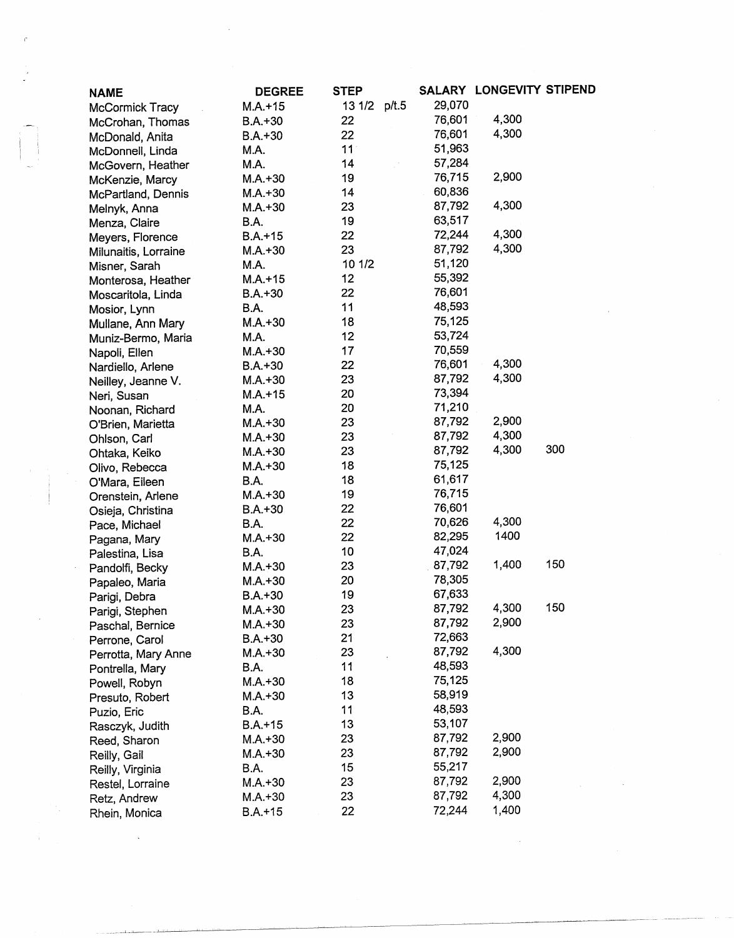| <b>NAME</b>          | <b>DEGREE</b> | <b>STEP</b>     |        | SALARY LONGEVITY STIPEND |     |
|----------------------|---------------|-----------------|--------|--------------------------|-----|
| McCormick Tracy      | $M.A. + 15$   | 13 1/2<br>p/t.5 | 29,070 |                          |     |
| McCrohan, Thomas     | $B.A. + 30$   | 22              | 76,601 | 4,300                    |     |
| McDonald, Anita      | $B.A.+30$     | 22              | 76,601 | 4,300                    |     |
| McDonnell, Linda     | M.A.          | 11 <sup>1</sup> | 51,963 |                          |     |
| McGovern, Heather    | M.A.          | 14              | 57,284 |                          |     |
| McKenzie, Marcy      | $M.A.+30$     | 19              | 76,715 | 2,900                    |     |
| McPartland, Dennis   | $M.A.+30$     | 14              | 60,836 |                          |     |
| Melnyk, Anna         | $M.A.+30$     | 23              | 87,792 | 4,300                    |     |
| Menza, Claire        | <b>B.A.</b>   | 19              | 63,517 |                          |     |
| Meyers, Florence     | $B.A.+15$     | 22              | 72,244 | 4,300                    |     |
| Milunaitis, Lorraine | $M.A.+30$     | 23              | 87,792 | 4,300                    |     |
| Misner, Sarah        | M.A.          | 10 1/2          | 51,120 |                          |     |
| Monterosa, Heather   | $M.A.+15$     | 12              | 55,392 |                          |     |
| Moscaritola, Linda   | $B.A.+30$     | 22              | 76,601 |                          |     |
| Mosior, Lynn         | B.A.          | 11              | 48,593 |                          |     |
| Mullane, Ann Mary    | $M.A.+30$     | 18              | 75,125 |                          |     |
| Muniz-Bermo, Maria   | M.A.          | 12              | 53,724 |                          |     |
| Napoli, Ellen        | $M.A.+30$     | 17              | 70,559 |                          |     |
| Nardiello, Arlene    | $B.A.+30$     | 22              | 76,601 | 4,300                    |     |
| Neilley, Jeanne V.   | $M.A.+30$     | 23              | 87,792 | 4,300                    |     |
| Neri, Susan          | $M.A.+15$     | 20              | 73,394 |                          |     |
| Noonan, Richard      | M.A.          | 20              | 71,210 |                          |     |
| O'Brien, Marietta    | $M.A.+30$     | 23              | 87,792 | 2,900                    |     |
| Ohlson, Carl         | $M.A.+30$     | 23              | 87,792 | 4,300                    |     |
| Ohtaka, Keiko        | $M.A.+30$     | 23              | 87,792 | 4,300                    | 300 |
| Olivo, Rebecca       | $M.A.+30$     | 18              | 75,125 |                          |     |
| O'Mara, Eileen       | B.A.          | 18              | 61,617 |                          |     |
| Orenstein, Arlene    | $M.A.+30$     | 19              | 76,715 |                          |     |
| Osieja, Christina    | $B.A.+30$     | 22              | 76,601 |                          |     |
| Pace, Michael        | B.A.          | 22              | 70,626 | 4,300                    |     |
| Pagana, Mary         | $M.A.+30$     | 22              | 82,295 | 1400                     |     |
| Palestina, Lisa      | <b>B.A.</b>   | 10              | 47,024 |                          |     |
| Pandolfi, Becky      | $M.A.+30$     | 23              | 87,792 | 1,400                    | 150 |
| Papaleo, Maria       | $M.A.+30$     | 20              | 78,305 |                          |     |
| Parigi, Debra        | $B.A.+30$     | 19              | 67,633 |                          |     |
| Parigi, Stephen      | $M.A.+30$     | 23              | 87,792 | 4,300                    | 150 |
| Paschal, Bernice     | $M.A.+30$     | 23              | 87,792 | 2,900                    |     |
| Perrone, Carol       | $B.A.+30$     | 21              | 72,663 |                          |     |
| Perrotta, Mary Anne  | $M.A.+30$     | 23              | 87,792 | 4,300                    |     |
| Pontrella, Mary      | B.A.          | 11              | 48,593 |                          |     |
| Powell, Robyn        | $M.A.+30$     | 18              | 75,125 |                          |     |
| Presuto, Robert      | $M.A.+30$     | 13              | 58,919 |                          |     |
| Puzio, Eric          | B.A.          | 11              | 48,593 |                          |     |
| Rasczyk, Judith      | $B.A. + 15$   | 13              | 53,107 |                          |     |
| Reed, Sharon         | $M.A.+30$     | 23              | 87,792 | 2,900                    |     |
| Reilly, Gail         | $M.A.+30$     | 23              | 87,792 | 2,900                    |     |
| Reilly, Virginia     | B.A.          | 15              | 55,217 |                          |     |
| Restel, Lorraine     | $M.A.+30$     | 23              | 87,792 | 2,900                    |     |
| Retz, Andrew         | $M.A.+30$     | 23              | 87,792 | 4,300                    |     |
| Rhein, Monica        | B.A.+15       | 22              | 72,244 | 1,400                    |     |

 $\label{eq:2.1} \frac{1}{\sqrt{2\pi}}\sum_{i=1}^n\frac{1}{\sqrt{2\pi}}\sum_{i=1}^n\frac{1}{\sqrt{2\pi}}\sum_{i=1}^n\frac{1}{\sqrt{2\pi}}\sum_{i=1}^n\frac{1}{\sqrt{2\pi}}\sum_{i=1}^n\frac{1}{\sqrt{2\pi}}\sum_{i=1}^n\frac{1}{\sqrt{2\pi}}\sum_{i=1}^n\frac{1}{\sqrt{2\pi}}\sum_{i=1}^n\frac{1}{\sqrt{2\pi}}\sum_{i=1}^n\frac{1}{\sqrt{2\pi}}\sum_{i=1}^n\$ 

 $\label{eq:2} \frac{1}{\sqrt{2}}\sum_{i=1}^n\frac{1}{\sqrt{2}}\sum_{i=1}^n\frac{1}{\sqrt{2}}\sum_{i=1}^n\frac{1}{\sqrt{2}}\sum_{i=1}^n\frac{1}{\sqrt{2}}\sum_{i=1}^n\frac{1}{\sqrt{2}}\sum_{i=1}^n\frac{1}{\sqrt{2}}\sum_{i=1}^n\frac{1}{\sqrt{2}}\sum_{i=1}^n\frac{1}{\sqrt{2}}\sum_{i=1}^n\frac{1}{\sqrt{2}}\sum_{i=1}^n\frac{1}{\sqrt{2}}\sum_{i=1}^n\frac{1$ 

 $\tilde{c}$ 

 $\label{eq:2.1} \frac{1}{2}\sum_{\substack{\alpha\in\mathbb{Z}^d\\ \alpha\in\mathbb{Z}^d}}\left|\frac{\partial}{\partial\alpha}\left(\frac{\partial}{\partial\alpha}\right)^{\alpha}\right|_{\alpha=0}=\sum_{\substack{\alpha\in\mathbb{Z}^d\\ \alpha\in\mathbb{Z}^d}}\left|\frac{\partial}{\partial\alpha}\left(\frac{\partial}{\partial\alpha}\right)^{\alpha}\right|_{\alpha=0}=\sum_{\substack{\alpha\in\mathbb{Z}^d\\ \alpha\in\mathbb{Z}^d}}\left|\frac{\partial}{\partial\alpha}\left(\frac{\partial}{\partial\alpha}\right)^{\alpha}\right|_{\alpha=0}=\$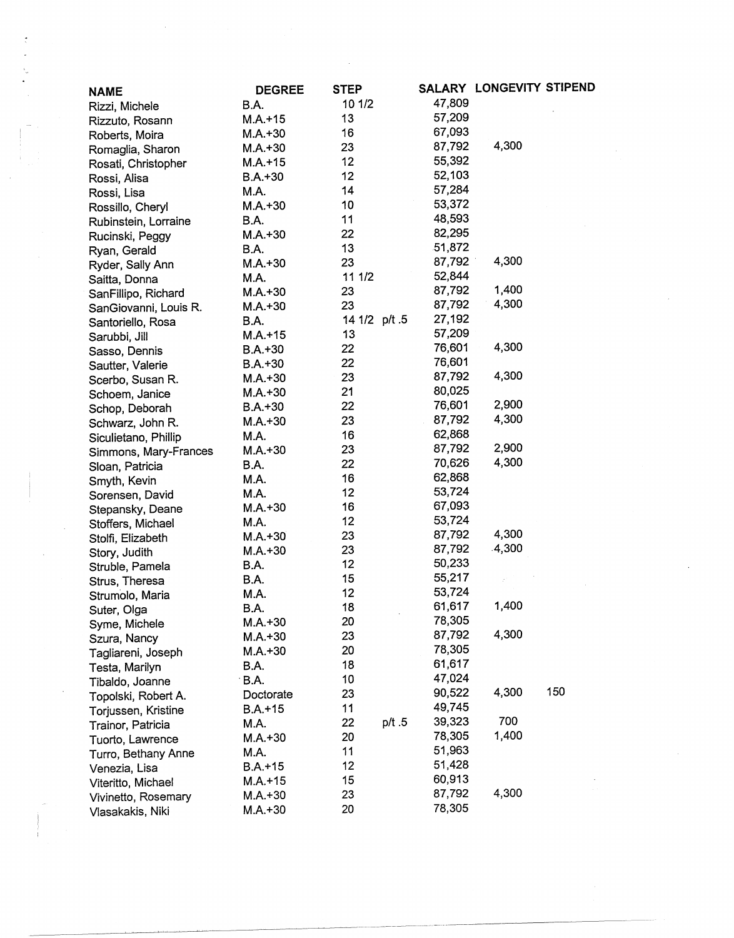| <b>NAME</b>           | <b>DEGREE</b> | <b>STEP</b>   |        |        | SALARY LONGEVITY STIPEND |     |
|-----------------------|---------------|---------------|--------|--------|--------------------------|-----|
| Rizzi, Michele        | B.A.          | 10 1/2        |        | 47,809 |                          |     |
| Rizzuto, Rosann       | $M.A.+15$     | 13            |        | 57,209 |                          |     |
| Roberts, Moira        | $M.A.+30$     | 16            |        | 67,093 |                          |     |
| Romaglia, Sharon      | $M.A.+30$     | 23            |        | 87,792 | 4,300                    |     |
|                       | $M.A. + 15$   | 12            |        | 55,392 |                          |     |
| Rosati, Christopher   | $B.A.+30$     | 12            |        | 52,103 |                          |     |
| Rossi, Alisa          | M.A.          | 14            |        | 57,284 |                          |     |
| Rossi, Lisa           | $M.A.+30$     | 10            |        | 53,372 |                          |     |
| Rossillo, Cheryl      | <b>B.A.</b>   | 11            |        | 48,593 |                          |     |
| Rubinstein, Lorraine  | $M.A.+30$     | 22            |        | 82,295 |                          |     |
| Rucinski, Peggy       | <b>B.A.</b>   | 13            |        | 51,872 |                          |     |
| Ryan, Gerald          |               | 23            |        | 87,792 | 4,300                    |     |
| Ryder, Sally Ann      | $M.A.+30$     | 11 1/2        |        | 52,844 |                          |     |
| Saitta, Donna         | M.A.          | 23            |        | 87,792 | 1,400                    |     |
| SanFillipo, Richard   | $M.A.+30$     | 23            |        | 87,792 | 4,300                    |     |
| SanGiovanni, Louis R. | $M.A.+30$     |               |        | 27,192 |                          |     |
| Santoriello, Rosa     | B.A.          | 14 1/2 p/t .5 |        | 57,209 |                          |     |
| Sarubbi, Jill         | $M.A.+15$     | 13            |        |        | 4,300                    |     |
| Sasso, Dennis         | $B.A.+30$     | 22            |        | 76,601 |                          |     |
| Sautter, Valerie      | $B.A.+30$     | 22            |        | 76,601 |                          |     |
| Scerbo, Susan R.      | $M.A.+30$     | 23            |        | 87,792 | 4,300                    |     |
| Schoem, Janice        | $M.A.+30$     | 21            |        | 80,025 |                          |     |
| Schop, Deborah        | $B.A.+30$     | 22            |        | 76,601 | 2,900                    |     |
| Schwarz, John R.      | $M.A. + 30$   | 23            |        | 87,792 | 4,300                    |     |
| Siculietano, Phillip  | M.A.          | 16            |        | 62,868 |                          |     |
| Simmons, Mary-Frances | $M.A.+30$     | 23            |        | 87,792 | 2,900                    |     |
| Sloan, Patricia       | B.A.          | 22            |        | 70,626 | 4,300                    |     |
| Smyth, Kevin          | M.A.          | 16            |        | 62,868 |                          |     |
| Sorensen, David       | M.A.          | 12            |        | 53,724 |                          |     |
| Stepansky, Deane      | $M.A.+30$     | 16            |        | 67,093 |                          |     |
| Stoffers, Michael     | M.A.          | 12            |        | 53,724 |                          |     |
| Stolfi, Elizabeth     | $M.A.+30$     | 23            |        | 87,792 | 4,300                    |     |
| Story, Judith         | $M.A. + 30$   | 23            |        | 87,792 | .4,300                   |     |
| Struble, Pamela       | B.A.          | 12            |        | 50,233 |                          |     |
| Strus, Theresa        | B.A.          | 15            |        | 55,217 |                          |     |
| Strumolo, Maria       | M.A.          | 12            |        | 53,724 |                          |     |
| Suter, Olga           | B.A.          | 18            |        | 61,617 | 1,400                    |     |
| Syme, Michele         | $M.A. + 30$   | 20            |        | 78,305 |                          |     |
| Szura, Nancy          | $M.A. + 30$   | 23            |        | 87,792 | 4,300                    |     |
| Tagliareni, Joseph    | $M.A.+30$     | 20            |        | 78,305 |                          |     |
| Testa, Marilyn        | B.A.          | 18            |        | 61,617 |                          |     |
| Tibaldo, Joanne       | <b>B.A.</b>   | 10            |        | 47,024 |                          |     |
| Topolski, Robert A.   | Doctorate     | 23            |        | 90,522 | 4,300                    | 150 |
| Torjussen, Kristine   | $B.A.+15$     | 11            |        | 49,745 |                          |     |
| Trainor, Patricia     | M.A.          | 22            | p/t .5 | 39,323 | 700                      |     |
| Tuorto, Lawrence      | $M.A.+30$     | 20            |        | 78,305 | 1,400                    |     |
| Turro, Bethany Anne   | M.A.          | 11            |        | 51,963 |                          |     |
| Venezia, Lisa         | $B.A.+15$     | 12            |        | 51,428 |                          |     |
| Viteritto, Michael    | M.A.+15       | 15            |        | 60,913 |                          |     |
| Vivinetto, Rosemary   | $M.A.+30$     | 23            |        | 87,792 | 4,300                    |     |
| Vlasakakis, Niki      | $M.A.+30$     | 20            |        | 78,305 |                          |     |

 $\sim$   $\sim$ 

 $\frac{1}{2} \frac{1}{2} \frac{1}{2}$ 

 $\frac{1}{2}$ 

 $\mathcal{A}^{\mathcal{A}}$ 

 $\sim$   $\sim$